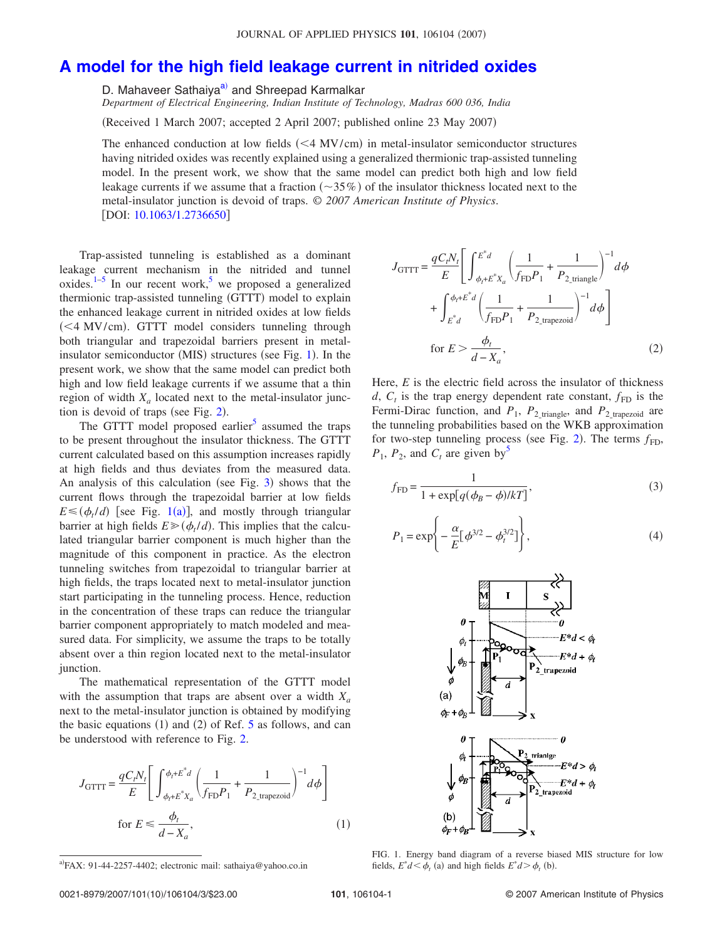## **A model for the high field leakage current in nitrided oxides**

D. Mahaveer Sathaiya<sup>a)</sup> and Shreepad Karmalkar

*Department of Electrical Engineering, Indian Institute of Technology, Madras 600 036, India*

(Received 1 March 2007; accepted 2 April 2007; published online 23 May 2007)

The enhanced conduction at low fields  $( $4$  MV/cm) in metal-insulator semiconductor structures$ having nitrided oxides was recently explained using a generalized thermionic trap-assisted tunneling model. In the present work, we show that the same model can predict both high and low field leakage currents if we assume that a fraction  $(\sim]35\%)$  of the insulator thickness located next to the metal-insulator junction is devoid of traps. © *2007 American Institute of Physics*. [DOI: 10.1063/1.2736650]

Trap-assisted tunneling is established as a dominant leakage current mechanism in the nitrided and tunnel oxides.<sup>1-5</sup> In our recent work,<sup>5</sup> we proposed a generalized thermionic trap-assisted tunneling (GTTT) model to explain the enhanced leakage current in nitrided oxides at low fields (<4 MV/cm). GTTT model considers tunneling through both triangular and trapezoidal barriers present in metalinsulator semiconductor (MIS) structures (see Fig. 1). In the present work, we show that the same model can predict both high and low field leakage currents if we assume that a thin region of width  $X_a$  located next to the metal-insulator junction is devoid of traps (see Fig.  $2$ ).

The GTTT model proposed earlier<sup>5</sup> assumed the traps to be present throughout the insulator thickness. The GTTT current calculated based on this assumption increases rapidly at high fields and thus deviates from the measured data. An analysis of this calculation (see Fig.  $3$ ) shows that the current flows through the trapezoidal barrier at low fields  $E \leq (\phi_t/d)$  [see Fig. 1(a)], and mostly through triangular barrier at high fields  $E \geqslant (\phi_t/d)$ . This implies that the calculated triangular barrier component is much higher than the magnitude of this component in practice. As the electron tunneling switches from trapezoidal to triangular barrier at high fields, the traps located next to metal-insulator junction start participating in the tunneling process. Hence, reduction in the concentration of these traps can reduce the triangular barrier component appropriately to match modeled and measured data. For simplicity, we assume the traps to be totally absent over a thin region located next to the metal-insulator junction.

The mathematical representation of the GTTT model with the assumption that traps are absent over a width *X<sup>a</sup>* next to the metal-insulator junction is obtained by modifying the basic equations  $(1)$  and  $(2)$  of Ref. 5 as follows, and can be understood with reference to Fig. 2.

$$
J_{\text{GTTT}} = \frac{qC_t N_t}{E} \left[ \int_{\phi_t + E^* X_a}^{\phi_t + E^* d} \left( \frac{1}{f_{\text{FD}} P_1} + \frac{1}{P_{2\_\text{trapezoid}}} \right)^{-1} d\phi \right]
$$
  
for  $E \le \frac{\phi_t}{d - X_a}$ , (1)

$$
J_{\text{GTTT}} = \frac{qC_t N_t}{E} \left[ \int_{\phi_t + E^* X_a}^{E^* d} \left( \frac{1}{f_{\text{FD}} P_1} + \frac{1}{P_{2\_triangle}} \right)^{-1} d\phi + \int_{E^* d}^{\phi_t + E^* d} \left( \frac{1}{f_{\text{FD}} P_1} + \frac{1}{P_{2\_triangle}} \right)^{-1} d\phi \right]
$$
  
for  $E > \frac{\phi_t}{d - X_a}$ , (2)

Here, *E* is the electric field across the insulator of thickness *d*,  $C_t$  is the trap energy dependent rate constant,  $f_{FD}$  is the Fermi-Dirac function, and  $P_1$ ,  $P_2$ <sub>-triangle</sub>, and  $P_2$ <sub>-trapezoid</sub> are<br>the tunnaling probabilities based on the WKB approximation the tunneling probabilities based on the WKB approximation for two-step tunneling process (see Fig. 2). The terms  $f_{FD}$ ,  $P_1$ ,  $P_2$ , and  $C_t$  are given by<sup>5</sup>

$$
f_{\rm FD} = \frac{1}{1 + \exp[q(\phi_B - \phi)/kT]},\tag{3}
$$

$$
P_1 = \exp\left\{-\frac{\alpha}{E} [\phi^{3/2} - \phi_t^{3/2}] \right\},\tag{4}
$$



FIG. 1. Energy band diagram of a reverse biased MIS structure for low fields,  $E^*d < \phi_t$  (a) and high fields  $E^*d > \phi_t$  (b).

 $a$ FAX: 91-44-2257-4402; electronic mail: sathaiya@yahoo.co.in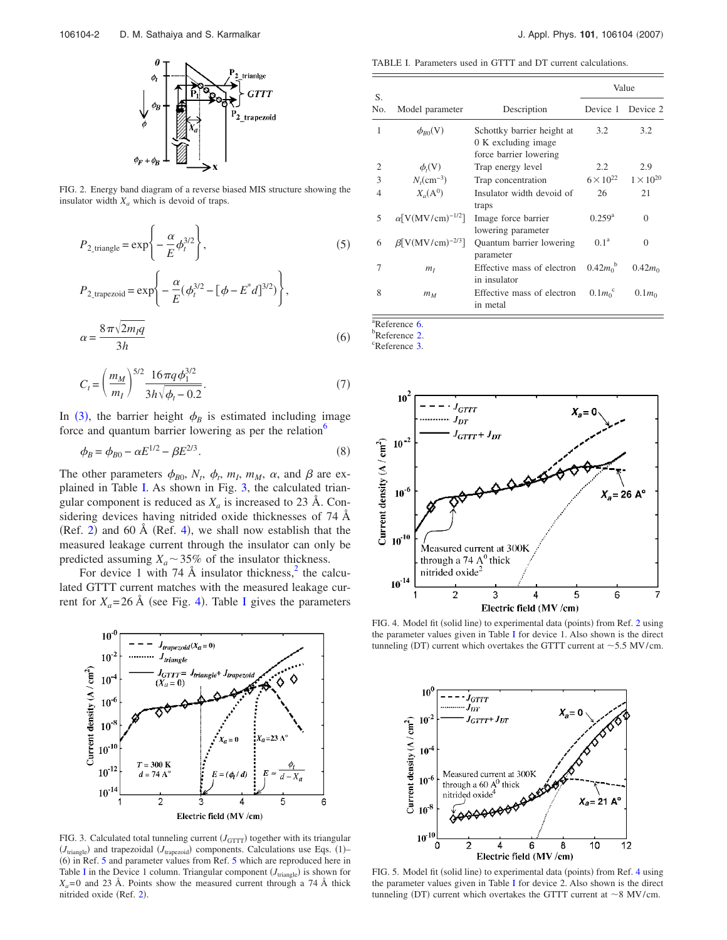

FIG. 2. Energy band diagram of a reverse biased MIS structure showing the insulator width  $X_a$  which is devoid of traps.

$$
P_{2\text{-triangle}} = \exp\left\{-\frac{\alpha}{E}\phi_t^{3/2}\right\},\tag{5}
$$

$$
P_{2_{\text{trapezoid}}} = \exp\left\{-\frac{\alpha}{E}(\phi_t^{3/2} - [\phi - E^*d]^{3/2})\right\},\,
$$

$$
\alpha = \frac{8\pi\sqrt{2m_Iq}}{3h} \tag{6}
$$

$$
C_t = \left(\frac{m_M}{m_I}\right)^{5/2} \frac{16\pi q \phi_1^{3/2}}{3h\sqrt{\phi_t - 0.2}}.\tag{7}
$$

In (3), the barrier height  $\phi_B$  is estimated including image force and quantum barrier lowering as per the relation $\delta$ 

$$
\phi_B = \phi_{B0} - \alpha E^{1/2} - \beta E^{2/3}.
$$
\n(8)

The other parameters  $\phi_{B0}$ ,  $N_t$ ,  $\phi_t$ ,  $m_l$ ,  $m_M$ ,  $\alpha$ , and  $\beta$  are explained in Table I. As shown in Fig. 3, the calculated triangular component is reduced as  $X_a$  is increased to 23 Å. Considering devices having nitrided oxide thicknesses of 74 Å  $(Ref. 2)$  and 60 Å  $(Ref. 4)$ , we shall now establish that the measured leakage current through the insulator can only be predicted assuming  $X_a \sim 35\%$  of the insulator thickness.

For device 1 with 74  $\AA$  insulator thickness,<sup>2</sup> the calculated GTTT current matches with the measured leakage current for  $X_a = 26$  Å (see Fig. 4). Table I gives the parameters



FIG. 3. Calculated total tunneling current  $(J<sub>GTTT</sub>)$  together with its triangular  $(J_{\text{triangle}})$  and trapezoidal  $(J_{\text{trapezoid}})$  components. Calculations use Eqs. (1)– (6) in Ref. 5 and parameter values from Ref. 5 which are reproduced here in Table I in the Device 1 column. Triangular component  $(J_{\text{triangle}})$  is shown for  $X_a = 0$  and 23 Å. Points show the measured current through a 74 Å thick nitrided oxide (Ref. 2).

TABLE I. Parameters used in GTTT and DT current calculations.

| S.             |                                      |                                                                             | Value                           |                    |
|----------------|--------------------------------------|-----------------------------------------------------------------------------|---------------------------------|--------------------|
| No.            | Model parameter                      | Description                                                                 | Device 1                        | Device 2           |
| 1              | $\phi_{R0}(V)$                       | Schottky barrier height at<br>0 K excluding image<br>force barrier lowering | 3.2                             | 3.2                |
| $\overline{c}$ | $\phi_t(V)$                          | Trap energy level                                                           | 2.2                             | 2.9                |
| 3              | $N_{\rm s}$ (cm <sup>-3</sup> )      | Trap concentration                                                          | $6 \times 10^{22}$              | $1 \times 10^{20}$ |
| 4              | $X_{a}({\rm A}^0)$                   | Insulator width devoid of<br>traps                                          | 26                              | 21                 |
| 5              | $\alpha$ [V(MV/cm) <sup>-1/2</sup> ] | Image force barrier<br>lowering parameter                                   | $0.259^{\rm a}$                 | $\Omega$           |
| 6              | $\beta$ [V(MV/cm) <sup>-2/3</sup> ]  | Quantum barrier lowering<br>parameter                                       | $0.1^{\rm a}$                   | $\Omega$           |
| 7              | m <sub>I</sub>                       | Effective mass of electron<br>in insulator                                  | $0.42 m0$ <sup>b</sup>          | $0.42m_0$          |
| 8              | $m_M$                                | Effective mass of electron<br>in metal                                      | 0.1 m <sub>0</sub> <sup>c</sup> | $0.1m_0$           |

 $\sqrt[3]{8}$ Reference 6.

b<sub>Reference</sub> 2.

<sup>c</sup>Reference 3.



FIG. 4. Model fit (solid line) to experimental data (points) from Ref. 2 using the parameter values given in Table I for device 1. Also shown is the direct tunneling (DT) current which overtakes the GTTT current at  $\sim$  5.5 MV/cm.



FIG. 5. Model fit (solid line) to experimental data (points) from Ref. 4 using the parameter values given in Table I for device 2. Also shown is the direct tunneling (DT) current which overtakes the GTTT current at  $\sim$ 8 MV/cm.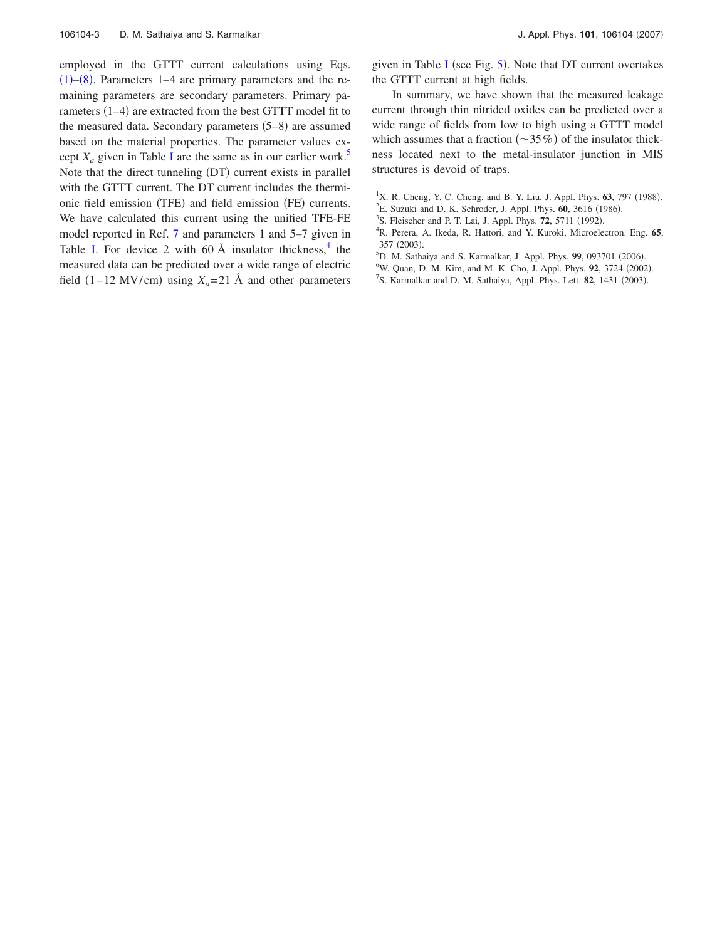employed in the GTTT current calculations using Eqs.  $(1)$ – $(8)$ . Parameters 1–4 are primary parameters and the remaining parameters are secondary parameters. Primary parameters (1–4) are extracted from the best GTTT model fit to the measured data. Secondary parameters  $(5-8)$  are assumed based on the material properties. The parameter values except  $X_a$  given in Table I are the same as in our earlier work.<sup>5</sup> Note that the direct tunneling (DT) current exists in parallel with the GTTT current. The DT current includes the thermionic field emission (TFE) and field emission (FE) currents. We have calculated this current using the unified TFE-FE model reported in Ref. 7 and parameters 1 and 5–7 given in Table I. For device 2 with 60  $\AA$  insulator thickness,  $4$  the measured data can be predicted over a wide range of electric field  $(1-12 \text{ MV/cm})$  using  $X_a = 21 \text{ Å}$  and other parameters

given in Table I (see Fig.  $5$ ). Note that DT current overtakes the GTTT current at high fields.

In summary, we have shown that the measured leakage current through thin nitrided oxides can be predicted over a wide range of fields from low to high using a GTTT model which assumes that a fraction  $(\sim 35\%)$  of the insulator thickness located next to the metal-insulator junction in MIS structures is devoid of traps.

- <sup>1</sup>X. R. Cheng, Y. C. Cheng, and B. Y. Liu, J. Appl. Phys. **63**, 797 (1988).
- <sup>2</sup>E. Suzuki and D. K. Schroder, J. Appl. Phys. 60, 3616 (1986).
- <sup>3</sup>S. Fleischer and P. T. Lai, J. Appl. Phys. **72**, 5711 (1992).
- <sup>4</sup>R. Perera, A. Ikeda, R. Hattori, and Y. Kuroki, Microelectron. Eng. **65**, 357 (2003).
- <sup>5</sup>D. M. Sathaiya and S. Karmalkar, J. Appl. Phys. 99, 093701 (2006).
- <sup>6</sup>W. Quan, D. M. Kim, and M. K. Cho, J. Appl. Phys. 92, 3724 (2002).
- <sup>7</sup>S. Karmalkar and D. M. Sathaiya, Appl. Phys. Lett. 82, 1431 (2003).